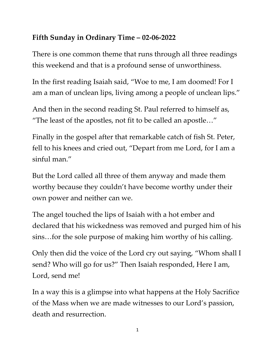## **Fifth Sunday in Ordinary Time – 02-06-2022**

There is one common theme that runs through all three readings this weekend and that is a profound sense of unworthiness.

In the first reading Isaiah said, "Woe to me, I am doomed! For I am a man of unclean lips, living among a people of unclean lips."

And then in the second reading St. Paul referred to himself as, "The least of the apostles, not fit to be called an apostle…"

Finally in the gospel after that remarkable catch of fish St. Peter, fell to his knees and cried out, "Depart from me Lord, for I am a sinful man."

But the Lord called all three of them anyway and made them worthy because they couldn't have become worthy under their own power and neither can we.

The angel touched the lips of Isaiah with a hot ember and declared that his wickedness was removed and purged him of his sins…for the sole purpose of making him worthy of his calling.

Only then did the voice of the Lord cry out saying, "Whom shall I send? Who will go for us?" Then Isaiah responded, Here I am, Lord, send me!

In a way this is a glimpse into what happens at the Holy Sacrifice of the Mass when we are made witnesses to our Lord's passion, death and resurrection.

1